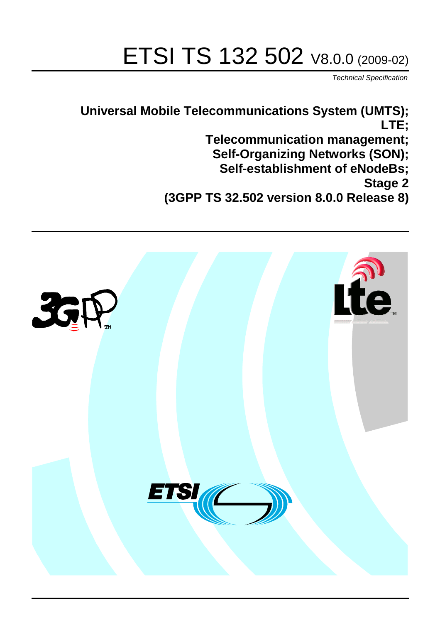# ETSI TS 132 502 V8.0.0 (2009-02)

*Technical Specification*

**Universal Mobile Telecommunications System (UMTS); LTE; Telecommunication management; Self-Organizing Networks (SON); Self-establishment of eNodeBs; Stage 2 (3GPP TS 32.502 version 8.0.0 Release 8)**

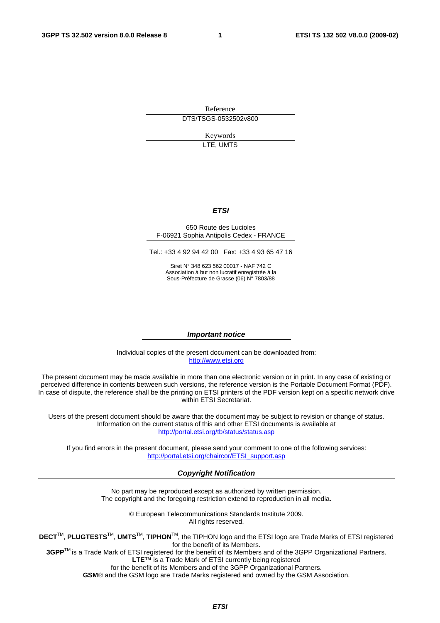Reference DTS/TSGS-0532502v800

> Keywords LTE, UMTS

#### *ETSI*

#### 650 Route des Lucioles F-06921 Sophia Antipolis Cedex - FRANCE

Tel.: +33 4 92 94 42 00 Fax: +33 4 93 65 47 16

Siret N° 348 623 562 00017 - NAF 742 C Association à but non lucratif enregistrée à la Sous-Préfecture de Grasse (06) N° 7803/88

#### *Important notice*

Individual copies of the present document can be downloaded from: http://www.etsi.org

The present document may be made available in more than one electronic version or in print. In any case of existing or perceived difference in contents between such versions, the reference version is the Portable Document Format (PDF). In case of dispute, the reference shall be the printing on ETSI printers of the PDF version kept on a specific network drive within ETSI Secretariat.

Users of the present document should be aware that the document may be subject to revision or change of status. Information on the current status of this and other ETSI documents is available at http://portal.etsi.org/tb/status/status.asp

If you find errors in the present document, please send your comment to one of the following services: http://portal.etsi.org/chaircor/ETSI\_support.asp

#### *Copyright Notification*

No part may be reproduced except as authorized by written permission. The copyright and the foregoing restriction extend to reproduction in all media.

> © European Telecommunications Standards Institute 2009. All rights reserved.

**DECT**TM, **PLUGTESTS**TM, **UMTS**TM, **TIPHON**TM, the TIPHON logo and the ETSI logo are Trade Marks of ETSI registered for the benefit of its Members.

**3GPP**TM is a Trade Mark of ETSI registered for the benefit of its Members and of the 3GPP Organizational Partners. **LTE**™ is a Trade Mark of ETSI currently being registered

for the benefit of its Members and of the 3GPP Organizational Partners.

**GSM**® and the GSM logo are Trade Marks registered and owned by the GSM Association.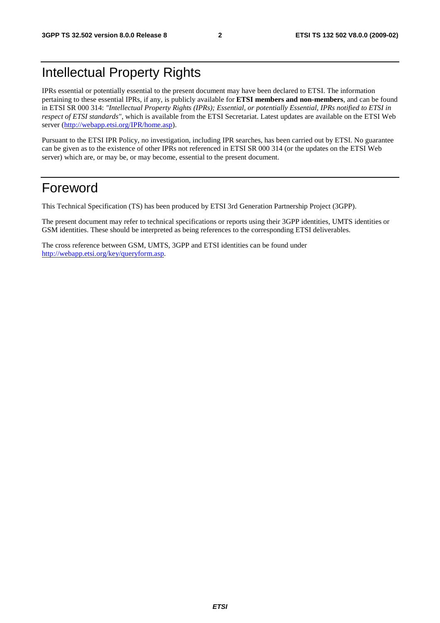### Intellectual Property Rights

IPRs essential or potentially essential to the present document may have been declared to ETSI. The information pertaining to these essential IPRs, if any, is publicly available for **ETSI members and non-members**, and can be found in ETSI SR 000 314: *"Intellectual Property Rights (IPRs); Essential, or potentially Essential, IPRs notified to ETSI in respect of ETSI standards"*, which is available from the ETSI Secretariat. Latest updates are available on the ETSI Web server (http://webapp.etsi.org/IPR/home.asp).

Pursuant to the ETSI IPR Policy, no investigation, including IPR searches, has been carried out by ETSI. No guarantee can be given as to the existence of other IPRs not referenced in ETSI SR 000 314 (or the updates on the ETSI Web server) which are, or may be, or may become, essential to the present document.

### Foreword

This Technical Specification (TS) has been produced by ETSI 3rd Generation Partnership Project (3GPP).

The present document may refer to technical specifications or reports using their 3GPP identities, UMTS identities or GSM identities. These should be interpreted as being references to the corresponding ETSI deliverables.

The cross reference between GSM, UMTS, 3GPP and ETSI identities can be found under http://webapp.etsi.org/key/queryform.asp.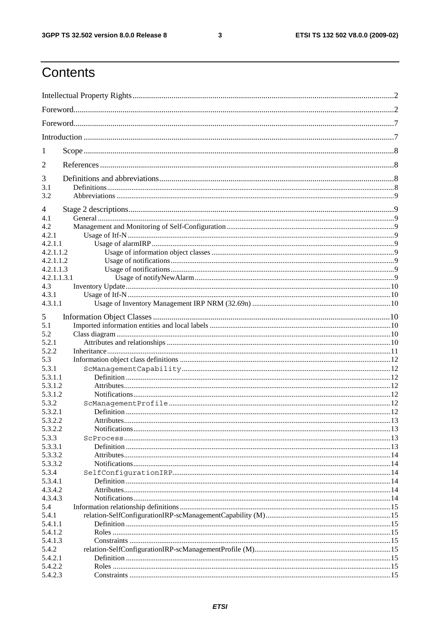#### $\mathbf{3}$

### Contents

| 1<br>3<br>3.1<br>3.2<br>4<br>4.1<br>4.2<br>4.2.1<br>4.2.1.1<br>4.2.1.1.2<br>4.2.1.1.2<br>4.2.1.1.3<br>4.2.1.1.3.1<br>4.3<br>4.3.1<br>4.3.1.1<br>5<br>5.1<br>5.2<br>5.2.1<br>5.2.2<br>5.3<br>5.3.1<br>5.3.1.1<br>5.3.1.2<br>5.3.1.2<br>5.3.2<br>5.3.2.1<br>5.3.2.2<br>Attributes<br>5.3.2.2<br>5.3.3<br>5.3.3.1<br>5.3.3.2<br>5.3.3.2<br>5.3.4<br>5.3.4.1<br>4.3.4.2<br>4.3.4.3<br>5.4<br>5.4.1<br>5.4.1.1<br>5.4.1.2<br>5.4.1.3<br>5.4.2<br>5.4.2.1<br>5.4.2.2<br>5.4.2.3 |   |  |
|---------------------------------------------------------------------------------------------------------------------------------------------------------------------------------------------------------------------------------------------------------------------------------------------------------------------------------------------------------------------------------------------------------------------------------------------------------------------------|---|--|
|                                                                                                                                                                                                                                                                                                                                                                                                                                                                           |   |  |
|                                                                                                                                                                                                                                                                                                                                                                                                                                                                           |   |  |
|                                                                                                                                                                                                                                                                                                                                                                                                                                                                           |   |  |
|                                                                                                                                                                                                                                                                                                                                                                                                                                                                           |   |  |
|                                                                                                                                                                                                                                                                                                                                                                                                                                                                           | 2 |  |
|                                                                                                                                                                                                                                                                                                                                                                                                                                                                           |   |  |
|                                                                                                                                                                                                                                                                                                                                                                                                                                                                           |   |  |
|                                                                                                                                                                                                                                                                                                                                                                                                                                                                           |   |  |
|                                                                                                                                                                                                                                                                                                                                                                                                                                                                           |   |  |
|                                                                                                                                                                                                                                                                                                                                                                                                                                                                           |   |  |
|                                                                                                                                                                                                                                                                                                                                                                                                                                                                           |   |  |
|                                                                                                                                                                                                                                                                                                                                                                                                                                                                           |   |  |
|                                                                                                                                                                                                                                                                                                                                                                                                                                                                           |   |  |
|                                                                                                                                                                                                                                                                                                                                                                                                                                                                           |   |  |
|                                                                                                                                                                                                                                                                                                                                                                                                                                                                           |   |  |
|                                                                                                                                                                                                                                                                                                                                                                                                                                                                           |   |  |
|                                                                                                                                                                                                                                                                                                                                                                                                                                                                           |   |  |
|                                                                                                                                                                                                                                                                                                                                                                                                                                                                           |   |  |
|                                                                                                                                                                                                                                                                                                                                                                                                                                                                           |   |  |
|                                                                                                                                                                                                                                                                                                                                                                                                                                                                           |   |  |
|                                                                                                                                                                                                                                                                                                                                                                                                                                                                           |   |  |
|                                                                                                                                                                                                                                                                                                                                                                                                                                                                           |   |  |
|                                                                                                                                                                                                                                                                                                                                                                                                                                                                           |   |  |
|                                                                                                                                                                                                                                                                                                                                                                                                                                                                           |   |  |
|                                                                                                                                                                                                                                                                                                                                                                                                                                                                           |   |  |
|                                                                                                                                                                                                                                                                                                                                                                                                                                                                           |   |  |
|                                                                                                                                                                                                                                                                                                                                                                                                                                                                           |   |  |
|                                                                                                                                                                                                                                                                                                                                                                                                                                                                           |   |  |
|                                                                                                                                                                                                                                                                                                                                                                                                                                                                           |   |  |
|                                                                                                                                                                                                                                                                                                                                                                                                                                                                           |   |  |
|                                                                                                                                                                                                                                                                                                                                                                                                                                                                           |   |  |
|                                                                                                                                                                                                                                                                                                                                                                                                                                                                           |   |  |
|                                                                                                                                                                                                                                                                                                                                                                                                                                                                           |   |  |
|                                                                                                                                                                                                                                                                                                                                                                                                                                                                           |   |  |
|                                                                                                                                                                                                                                                                                                                                                                                                                                                                           |   |  |
|                                                                                                                                                                                                                                                                                                                                                                                                                                                                           |   |  |
|                                                                                                                                                                                                                                                                                                                                                                                                                                                                           |   |  |
|                                                                                                                                                                                                                                                                                                                                                                                                                                                                           |   |  |
|                                                                                                                                                                                                                                                                                                                                                                                                                                                                           |   |  |
|                                                                                                                                                                                                                                                                                                                                                                                                                                                                           |   |  |
|                                                                                                                                                                                                                                                                                                                                                                                                                                                                           |   |  |
|                                                                                                                                                                                                                                                                                                                                                                                                                                                                           |   |  |
|                                                                                                                                                                                                                                                                                                                                                                                                                                                                           |   |  |
|                                                                                                                                                                                                                                                                                                                                                                                                                                                                           |   |  |
|                                                                                                                                                                                                                                                                                                                                                                                                                                                                           |   |  |
|                                                                                                                                                                                                                                                                                                                                                                                                                                                                           |   |  |
|                                                                                                                                                                                                                                                                                                                                                                                                                                                                           |   |  |
|                                                                                                                                                                                                                                                                                                                                                                                                                                                                           |   |  |
|                                                                                                                                                                                                                                                                                                                                                                                                                                                                           |   |  |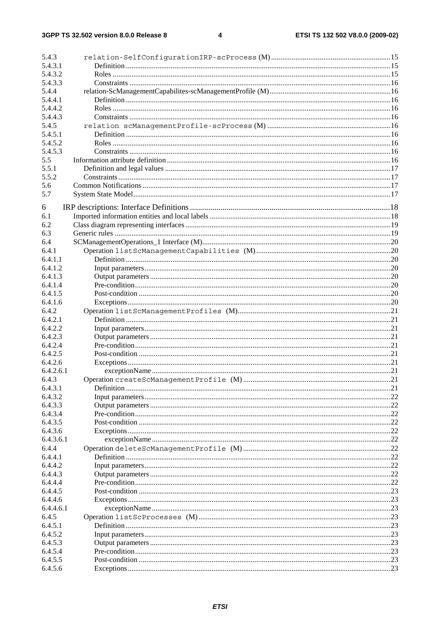| 5.4.3     |     |
|-----------|-----|
| 5.4.3.1   |     |
| 5.4.3.2   |     |
| 5.4.3.3   |     |
| 5.4.4     |     |
| 5.4.4.1   |     |
| 5.4.4.2   |     |
| 5.4.4.3   |     |
| 5.4.5     |     |
| 5.4.5.1   |     |
| 5.4.5.2   |     |
| 5.4.5.3   |     |
| 5.5       |     |
| 5.5.1     |     |
| 5.5.2     |     |
| 5.6       |     |
| 5.7       |     |
|           |     |
| 6         |     |
| 6.1       |     |
| 6.2       |     |
| 6.3       |     |
| 6.4       |     |
| 6.4.1     |     |
| 6.4.1.1   |     |
| 6.4.1.2   |     |
| 6.4.1.3   |     |
| 6.4.1.4   |     |
| 6.4.1.5   |     |
| 6.4.1.6   |     |
| 6.4.2     |     |
| 6.4.2.1   |     |
|           |     |
| 6.4.2.2   |     |
| 6.4.2.3   |     |
| 6.4.2.4   |     |
| 6.4.2.5   |     |
| 6.4.2.6   |     |
| 6.4.2.6.1 |     |
| 6.4.3     |     |
| 6.4.3.1   |     |
| 6.4.3.2   |     |
| 6.4.3.3   |     |
| 6.4.3.4   |     |
| 6.4.3.5   |     |
| 6.4.3.6   | .22 |
| 6.4.3.6.1 | .22 |
| 6.4.4     | .22 |
| 6.4.4.1   | .22 |
| 6.4.4.2   | .22 |
| 6.4.4.3   | .22 |
| 6.4.4.4   |     |
| 6.4.4.5   |     |
| 6.4.4.6   |     |
| 6.4.4.6.1 |     |
| 6.4.5     |     |
| 6.4.5.1   |     |
| 6.4.5.2   |     |
| 6.4.5.3   |     |
| 6.4.5.4   |     |
| 6.4.5.5   |     |
| 6.4.5.6   |     |
|           |     |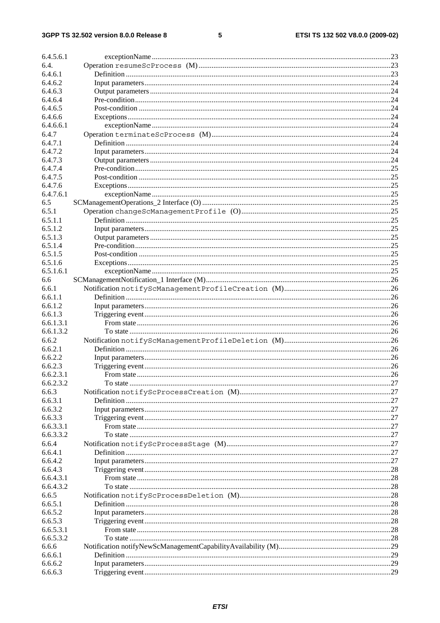#### $\overline{\mathbf{5}}$

| 6.4.5.6.1              |     |
|------------------------|-----|
| 6.4.                   |     |
| 6.4.6.1                |     |
| 6.4.6.2                |     |
| 6.4.6.3                |     |
| 6.4.6.4                |     |
| 6.4.6.5                |     |
| 6.4.6.6                |     |
| 6.4.6.6.1              |     |
| 6.4.7                  |     |
| 6.4.7.1                |     |
| 6.4.7.2                |     |
| 6.4.7.3                |     |
| 6.4.7.4<br>6.4.7.5     |     |
| 6.4.7.6                |     |
| 6.4.7.6.1              |     |
| 6.5                    |     |
| 6.5.1                  |     |
| 6.5.1.1                |     |
| 6.5.1.2                |     |
| 6.5.1.3                |     |
| 6.5.1.4                |     |
| 6.5.1.5                |     |
| 6.5.1.6                |     |
| 6.5.1.6.1              |     |
| 6.6                    |     |
| 6.6.1                  |     |
| 6.6.1.1                |     |
| 6.6.1.2                |     |
| 6.6.1.3                |     |
| 6.6.1.3.1              |     |
| 6.6.1.3.2              |     |
| 6.6.2                  |     |
| 6.6.2.1                |     |
| 6.6.2.2                |     |
| 6.6.2.3                |     |
|                        |     |
| 6.6.2.3.1              |     |
| 6.6.2.3.2              |     |
| 6.6.3                  |     |
| 6.6.3.1                |     |
| 6.6.3.2                |     |
| 6.6.3.3                |     |
| 6.6.3.3.1              |     |
| 6.6.3.3.2              |     |
| 6.6.4                  |     |
| 6.6.4.1                |     |
| 6.6.4.2                |     |
| 6.6.4.3                |     |
| 6.6.4.3.1<br>6.6.4.3.2 | .28 |
| 6.6.5                  |     |
| 6.6.5.1                |     |
| 6.6.5.2                |     |
| 6.6.5.3                |     |
| 6.6.5.3.1              |     |
| 6.6.5.3.2              |     |
| 6.6.6                  |     |
| 6.6.6.1                |     |
| 6.6.6.2<br>6.6.6.3     | .29 |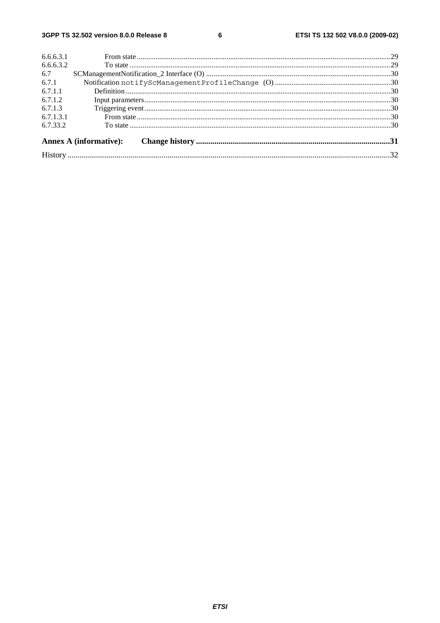$\bf 6$ 

| 6.6.6.3.1 |                        |  |
|-----------|------------------------|--|
| 6.6.6.3.2 |                        |  |
| 6.7       |                        |  |
| 6.7.1     |                        |  |
| 6.7.1.1   |                        |  |
| 6.7.1.2   |                        |  |
| 6.7.1.3   |                        |  |
| 6.7.1.3.1 |                        |  |
| 6.7.33.2  |                        |  |
|           | Annex A (informative): |  |
|           |                        |  |
|           |                        |  |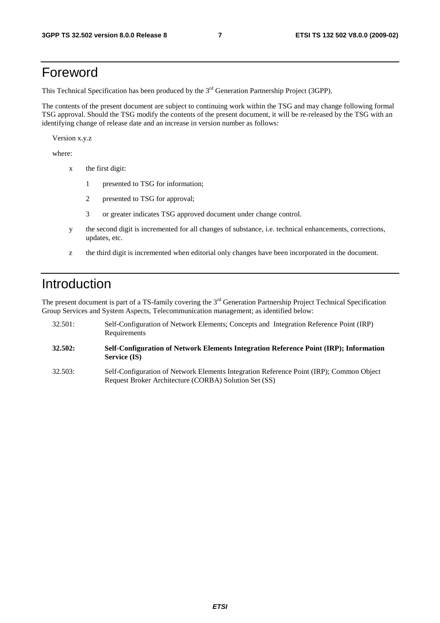### Foreword

This Technical Specification has been produced by the 3<sup>rd</sup> Generation Partnership Project (3GPP).

The contents of the present document are subject to continuing work within the TSG and may change following formal TSG approval. Should the TSG modify the contents of the present document, it will be re-released by the TSG with an identifying change of release date and an increase in version number as follows:

Version x.y.z

where:

- x the first digit:
	- 1 presented to TSG for information;
	- 2 presented to TSG for approval;
	- 3 or greater indicates TSG approved document under change control.
- y the second digit is incremented for all changes of substance, i.e. technical enhancements, corrections, updates, etc.
- z the third digit is incremented when editorial only changes have been incorporated in the document.

### Introduction

The present document is part of a TS-family covering the 3<sup>rd</sup> Generation Partnership Project Technical Specification Group Services and System Aspects, Telecommunication management; as identified below:

- 32.501: Self-Configuration of Network Elements; Concepts and Integration Reference Point (IRP) Requirements
- **32.502: Self-Configuration of Network Elements Integration Reference Point (IRP); Information Service (IS)**
- 32.503: Self-Configuration of Network Elements Integration Reference Point (IRP); Common Object Request Broker Architecture (CORBA) Solution Set (SS)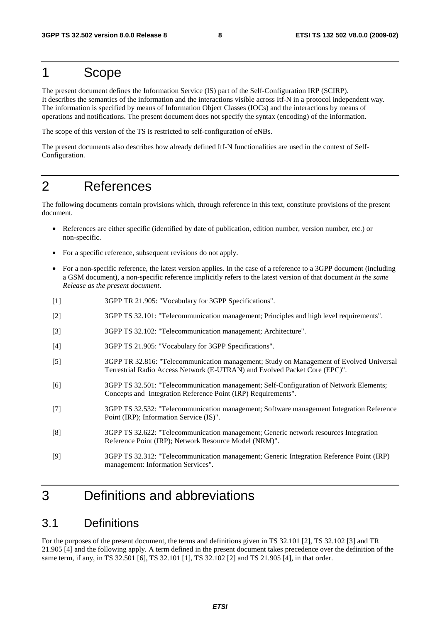### 1 Scope

The present document defines the Information Service (IS) part of the Self-Configuration IRP (SCIRP). It describes the semantics of the information and the interactions visible across Itf-N in a protocol independent way. The information is specified by means of Information Object Classes (IOCs) and the interactions by means of operations and notifications. The present document does not specify the syntax (encoding) of the information.

The scope of this version of the TS is restricted to self-configuration of eNBs.

The present documents also describes how already defined Itf-N functionalities are used in the context of Self-Configuration.

### 2 References

The following documents contain provisions which, through reference in this text, constitute provisions of the present document.

- References are either specific (identified by date of publication, edition number, version number, etc.) or non-specific.
- For a specific reference, subsequent revisions do not apply.
- For a non-specific reference, the latest version applies. In the case of a reference to a 3GPP document (including a GSM document), a non-specific reference implicitly refers to the latest version of that document *in the same Release as the present document*.
- [1] 3GPP TR 21.905: "Vocabulary for 3GPP Specifications".
- [2] 3GPP TS 32.101: "Telecommunication management; Principles and high level requirements".
- [3] 3GPP TS 32.102: "Telecommunication management; Architecture".
- [4] 3GPP TS 21.905: "Vocabulary for 3GPP Specifications".
- [5] 3GPP TR 32.816: "Telecommunication management; Study on Management of Evolved Universal Terrestrial Radio Access Network (E-UTRAN) and Evolved Packet Core (EPC)".
- [6] 3GPP TS 32.501: "Telecommunication management; Self-Configuration of Network Elements; Concepts and Integration Reference Point (IRP) Requirements".
- [7] 3GPP TS 32.532: "Telecommunication management; Software management Integration Reference Point (IRP); Information Service (IS)".
- [8] 3GPP TS 32.622: "Telecommunication management; Generic network resources Integration Reference Point (IRP); Network Resource Model (NRM)".
- [9] 3GPP TS 32.312: "Telecommunication management; Generic Integration Reference Point (IRP) management: Information Services".

### 3 Definitions and abbreviations

### 3.1 Definitions

For the purposes of the present document, the terms and definitions given in TS 32.101 [2], TS 32.102 [3] and TR 21.905 [4] and the following apply. A term defined in the present document takes precedence over the definition of the same term, if any, in TS 32.501 [6], TS 32.101 [1], TS 32.102 [2] and TS 21.905 [4], in that order.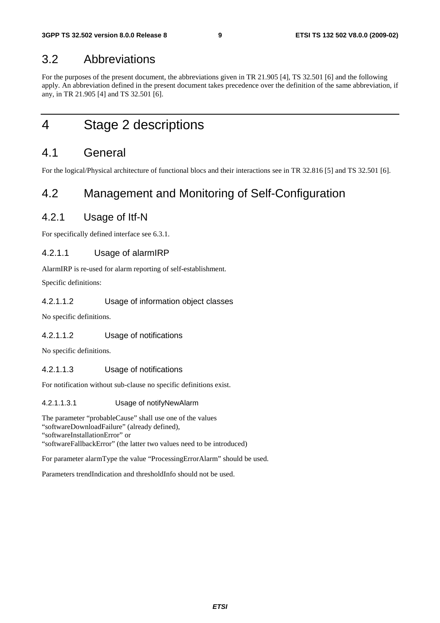### 3.2 Abbreviations

For the purposes of the present document, the abbreviations given in TR 21.905 [4], TS 32.501 [6] and the following apply. An abbreviation defined in the present document takes precedence over the definition of the same abbreviation, if any, in TR 21.905 [4] and TS 32.501 [6].

4 Stage 2 descriptions

### 4.1 General

For the logical/Physical architecture of functional blocs and their interactions see in TR 32.816 [5] and TS 32.501 [6].

### 4.2 Management and Monitoring of Self-Configuration

#### 4.2.1 Usage of Itf-N

For specifically defined interface see 6.3.1.

#### 4.2.1.1 Usage of alarmIRP

AlarmIRP is re-used for alarm reporting of self-establishment.

Specific definitions:

#### 4.2.1.1.2 Usage of information object classes

No specific definitions.

#### 4.2.1.1.2 Usage of notifications

No specific definitions.

#### 4.2.1.1.3 Usage of notifications

For notification without sub-clause no specific definitions exist.

#### 4.2.1.1.3.1 Usage of notifyNewAlarm

The parameter "probableCause" shall use one of the values "softwareDownloadFailure" (already defined), "softwareInstallationError" or "softwareFallbackError" (the latter two values need to be introduced)

For parameter alarmType the value "ProcessingErrorAlarm" should be used.

Parameters trendIndication and thresholdInfo should not be used.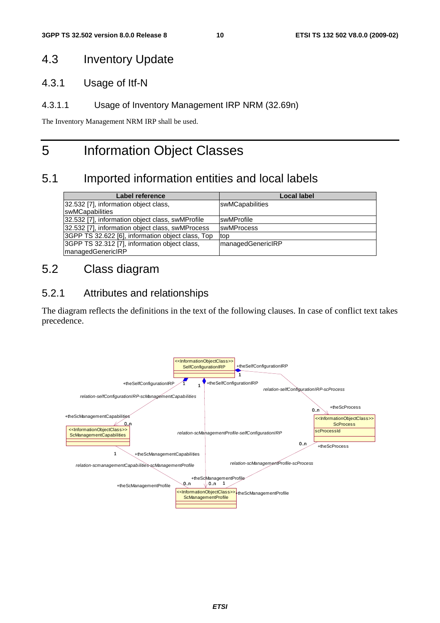### 4.3 Inventory Update

4.3.1 Usage of Itf-N

#### 4.3.1.1 Usage of Inventory Management IRP NRM (32.69n)

The Inventory Management NRM IRP shall be used.

### 5 Information Object Classes

### 5.1 Imported information entities and local labels

| Label reference                                   | Local label              |
|---------------------------------------------------|--------------------------|
| 32.532 [7], information object class,             | swMCapabilities          |
| swMCapabilities                                   |                          |
| 32.532 [7], information object class, swMProfile  | <b>IswMProfile</b>       |
| 32.532 [7], information object class, swMProcess  | <b>swMProcess</b>        |
| 3GPP TS 32.622 [6], information object class, Top | top                      |
| 3GPP TS 32.312 [7], information object class,     | <b>managedGenericIRP</b> |
| managedGenericIRP                                 |                          |

### 5.2 Class diagram

### 5.2.1 Attributes and relationships

The diagram reflects the definitions in the text of the following clauses. In case of conflict text takes precedence.

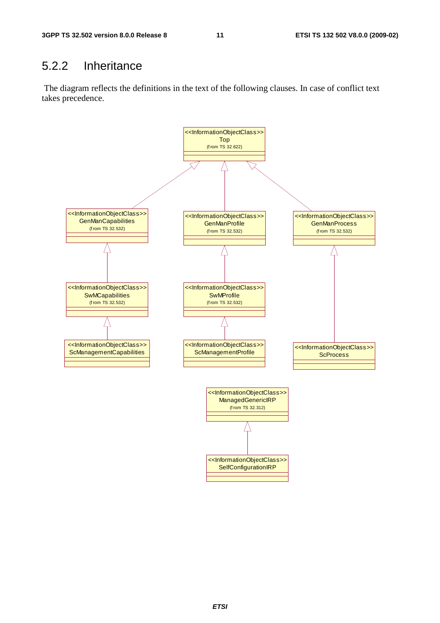### 5.2.2 Inheritance

 The diagram reflects the definitions in the text of the following clauses. In case of conflict text takes precedence.

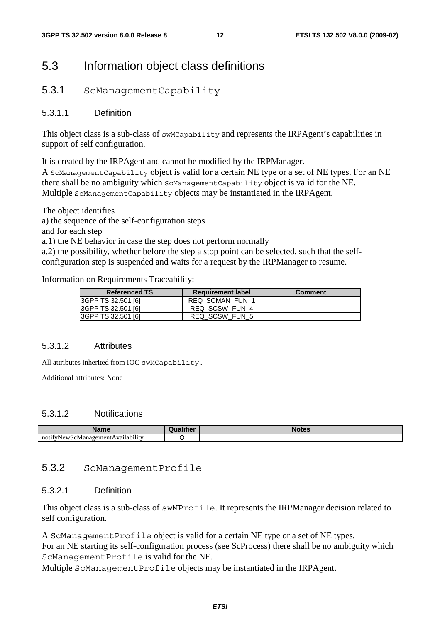### 5.3 Information object class definitions

#### 5.3.1 ScManagementCapability

#### 5.3.1.1 Definition

This object class is a sub-class of swMCapability and represents the IRPAgent's capabilities in support of self configuration.

It is created by the IRPAgent and cannot be modified by the IRPManager.

A ScManagementCapability object is valid for a certain NE type or a set of NE types. For an NE there shall be no ambiguity which ScManagementCapability object is valid for the NE. Multiple ScManagementCapability objects may be instantiated in the IRPAgent.

The object identifies

a) the sequence of the self-configuration steps

and for each step

a.1) the NE behavior in case the step does not perform normally

a.2) the possibility, whether before the step a stop point can be selected, such that the selfconfiguration step is suspended and waits for a request by the IRPManager to resume.

Information on Requirements Traceability:

| <b>Referenced TS</b> | <b>Requirement label</b> | <b>Comment</b> |
|----------------------|--------------------------|----------------|
| 3GPP TS 32.501 [6]   | <b>REQ SCMAN FUN 1</b>   |                |
| 3GPP TS 32.501 [6]   | REQ SCSW FUN 4           |                |
| 3GPP TS 32.501 [6]   | REQ SCSW FUN 5           |                |

#### 5.3.1.2 Attributes

All attributes inherited from IOC swMCapability.

Additional attributes: None

#### 5.3.1.2 Notifications

| ----<br>ш                                                   | <b>THEFT AND</b> |  |
|-------------------------------------------------------------|------------------|--|
| $\cdots$<br>noti<br>vailabilitv<br>/New<br>. Manager<br>۰N. |                  |  |

#### 5.3.2 ScManagementProfile

#### 5.3.2.1 Definition

This object class is a sub-class of swMProfile. It represents the IRPManager decision related to self configuration.

A ScManagementProfile object is valid for a certain NE type or a set of NE types. For an NE starting its self-configuration process (see ScProcess) there shall be no ambiguity which ScManagementProfile is valid for the NE.

Multiple ScManagementProfile objects may be instantiated in the IRPAgent.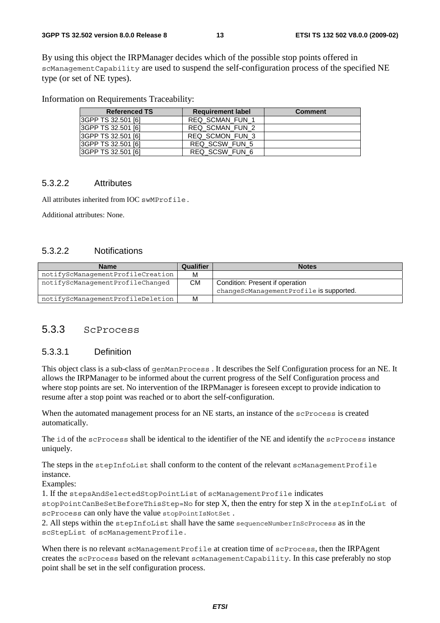By using this object the IRPManager decides which of the possible stop points offered in scManagementCapability are used to suspend the self-configuration process of the specified NE type (or set of NE types).

Information on Requirements Traceability:

| <b>Referenced TS</b> | <b>Requirement label</b> | <b>Comment</b> |
|----------------------|--------------------------|----------------|
| 3GPP TS 32.501 [6]   | <b>REQ SCMAN FUN 1</b>   |                |
| 3GPP TS 32.501 [6]   | REQ SCMAN FUN 2          |                |
| 3GPP TS 32.501 [6]   | REQ SCMON FUN 3          |                |
| 3GPP TS 32.501 [6]   | REQ SCSW FUN 5           |                |
| 3GPP TS 32.501 [6]   | REQ SCSW_FUN_6           |                |

#### 5.3.2.2 Attributes

All attributes inherited from IOC swMProfile.

Additional attributes: None.

#### 5.3.2.2 Notifications

| <b>Name</b>                       | Qualifier | <b>Notes</b>                            |
|-----------------------------------|-----------|-----------------------------------------|
| notifyScManagementProfileCreation | М         |                                         |
| notifyScManagementProfileChanged  | CМ        | Condition: Present if operation         |
|                                   |           | changeScManagementProfile is supported. |
| notifyScManagementProfileDeletion | М         |                                         |

#### 5.3.3 ScProcess

#### 5.3.3.1 Definition

This object class is a sub-class of genManProcess . It describes the Self Configuration process for an NE. It allows the IRPManager to be informed about the current progress of the Self Configuration process and where stop points are set. No intervention of the IRPManager is foreseen except to provide indication to resume after a stop point was reached or to abort the self-configuration.

When the automated management process for an NE starts, an instance of the scProcess is created automatically.

The id of the scProcess shall be identical to the identifier of the NE and identify the scProcess instance uniquely.

The steps in the stepInfoList shall conform to the content of the relevant scManagementProfile instance.

Examples:

1. If the stepsAndSelectedStopPointList of scManagementProfile indicates

 $stopPointCanBeSetBeforeThisStep=No$  for step X, then the entry for step X in the stepInfoList of scProcess can only have the value stopPointIsNotSet .

2. All steps within the stepInfoList shall have the same sequenceNumberInScProcess as in the scStepList of scManagementProfile.

When there is no relevant scManagementProfile at creation time of scProcess, then the IRPAgent creates the scProcess based on the relevant scManagementCapability. In this case preferably no stop point shall be set in the self configuration process.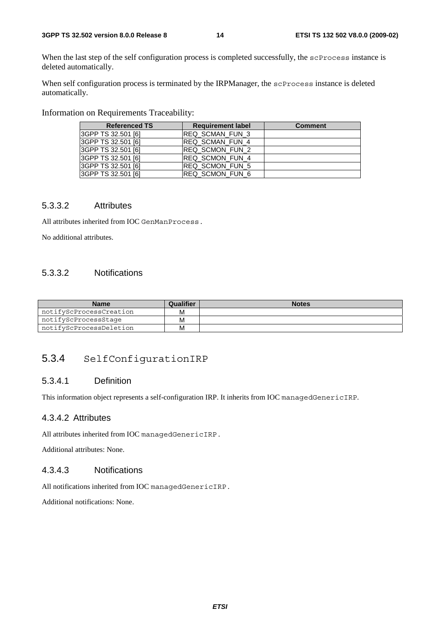When the last step of the self configuration process is completed successfully, the scProcess instance is deleted automatically.

When self configuration process is terminated by the IRPManager, the scProcess instance is deleted automatically.

Information on Requirements Traceability:

| <b>Referenced TS</b> | <b>Requirement label</b> | <b>Comment</b> |
|----------------------|--------------------------|----------------|
| 3GPP TS 32.501 [6]   | REQ SCMAN_FUN_3          |                |
| I3GPP TS 32.501 [6]  | REQ SCMAN FUN 4          |                |
| 3GPP TS 32.501 [6]   | REQ SCMON FUN 2          |                |
| I3GPP TS 32.501 [6]  | REQ SCMON FUN 4          |                |
| 3GPP TS 32.501 [6]   | REQ SCMON FUN 5          |                |
| 3GPP TS 32.501 [6]   | IREQ SCMON FUN 6         |                |

#### 5.3.3.2 Attributes

All attributes inherited from IOC GenManProcess.

No additional attributes.

#### 5.3.3.2 Notifications

| <b>Name</b>             | Qualifier | <b>Notes</b> |
|-------------------------|-----------|--------------|
| notifyScProcessCreation | М         |              |
| notifyScProcessStage    | М         |              |
| notifyScProcessDeletion | М         |              |

#### 5.3.4 SelfConfigurationIRP

#### 5.3.4.1 Definition

This information object represents a self-configuration IRP. It inherits from IOC managedGenericIRP.

#### 4.3.4.2 Attributes

All attributes inherited from IOC managedGenericIRP.

Additional attributes: None.

#### 4.3.4.3 Notifications

All notifications inherited from IOC managedGenericIRP.

Additional notifications: None.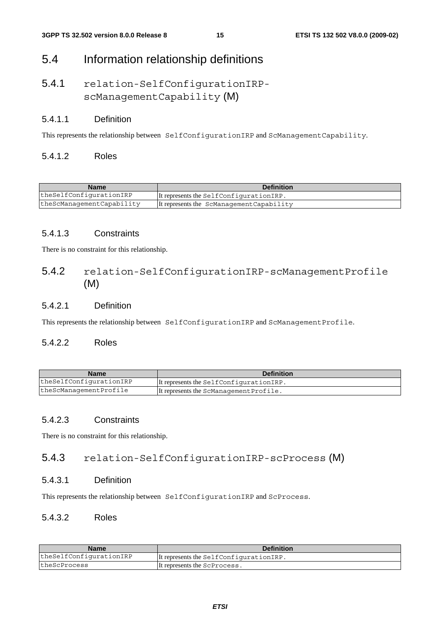### 5.4 Information relationship definitions

### 5.4.1 relation-SelfConfigurationIRPscManagementCapability (M)

#### 5.4.1.1 Definition

This represents the relationship between SelfConfigurationIRP and ScManagementCapability.

#### 5.4.1.2 Roles

| <b>Name</b>               | <b>Definition</b>                         |
|---------------------------|-------------------------------------------|
| theSelfConfigurationIRP   | It represents the SelfConfigurationIRP.   |
| theScManagementCapability | It represents the ScManagement Capability |

#### 5.4.1.3 Constraints

There is no constraint for this relationship.

#### 5.4.2 relation-SelfConfigurationIRP-scManagementProfile (M)

#### 5.4.2.1 Definition

This represents the relationship between SelfConfigurationIRP and ScManagementProfile.

#### 5.4.2.2 Roles

| <b>Name</b>             | <b>Definition</b>                       |
|-------------------------|-----------------------------------------|
| theSelfConfigurationIRP | It represents the SelfConfigurationIRP. |
| theScManagementProfile  | It represents the ScManagement Profile. |

#### 5.4.2.3 Constraints

There is no constraint for this relationship.

#### 5.4.3 relation-SelfConfigurationIRP-scProcess (M)

#### 5.4.3.1 Definition

This represents the relationship between SelfConfigurationIRP and ScProcess.

#### 5.4.3.2 Roles

| <b>Name</b>             | <b>Definition</b>                       |
|-------------------------|-----------------------------------------|
| theSelfConfigurationIRP | It represents the SelfConfigurationIRP. |
| theScProcess            | It represents the ScProcess.            |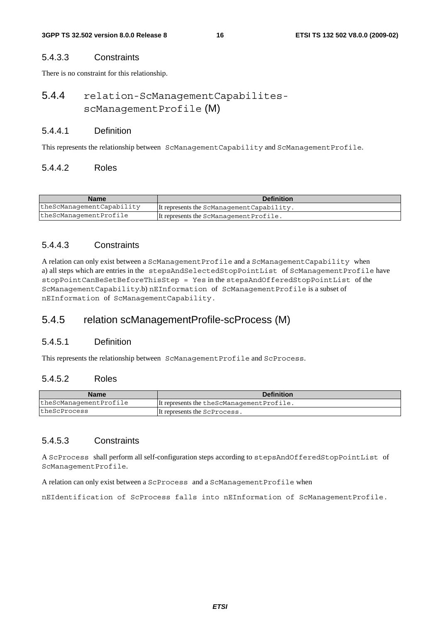#### 5.4.3.3 Constraints

There is no constraint for this relationship.

### 5.4.4 relation-ScManagementCapabilitesscManagementProfile (M)

#### 5.4.4.1 Definition

This represents the relationship between ScManagementCapability and ScManagementProfile.

#### 5.4.4.2 Roles

| <b>Name</b>               | <b>Definition</b>                          |
|---------------------------|--------------------------------------------|
| theScManagementCapability | It represents the ScManagement Capability. |
| theScManagementProfile    | It represents the ScManagement Profile.    |

#### 5.4.4.3 Constraints

A relation can only exist between a ScManagementProfile and a ScManagementCapability when a) all steps which are entries in the stepsAndSelectedStopPointList of ScManagementProfile have stopPointCanBeSetBeforeThisStep = Yes in the stepsAndOfferedStopPointList of the ScManagementCapability.b) nEInformation of ScManagementProfile is a subset of nEInformation of ScManagementCapability.

#### 5.4.5 relation scManagementProfile-scProcess (M)

#### 5.4.5.1 Definition

This represents the relationship between ScManagementProfile and ScProcess.

#### 5.4.5.2 Roles

| <b>Name</b>            | <b>Definition</b>                           |
|------------------------|---------------------------------------------|
| theScManagementProfile | It represents the the ScManagement Profile. |
| theScProcess           | It represents the ScProcess.                |

#### 5.4.5.3 Constraints

A ScProcess shall perform all self-configuration steps according to stepsAndOfferedStopPointList of ScManagementProfile.

A relation can only exist between a ScProcess and a ScManagementProfile when

nEIdentification of ScProcess falls into nEInformation of ScManagementProfile.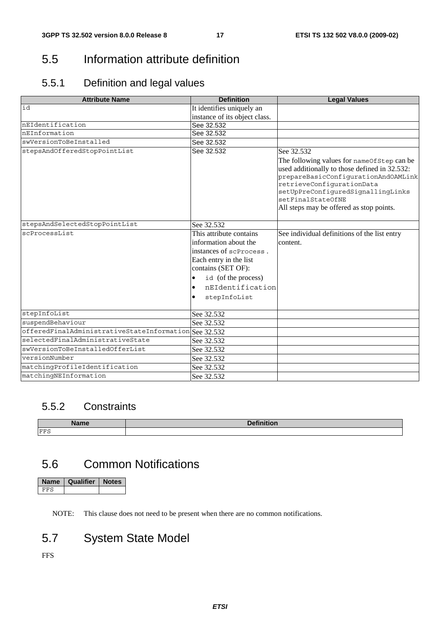### 5.5 Information attribute definition

### 5.5.1 Definition and legal values

| <b>Attribute Name</b>                                 | <b>Definition</b>                                                                                                                                                                      | <b>Legal Values</b>                                                                                                                                                                                                                                                   |
|-------------------------------------------------------|----------------------------------------------------------------------------------------------------------------------------------------------------------------------------------------|-----------------------------------------------------------------------------------------------------------------------------------------------------------------------------------------------------------------------------------------------------------------------|
| id                                                    | It identifies uniquely an                                                                                                                                                              |                                                                                                                                                                                                                                                                       |
|                                                       | instance of its object class.                                                                                                                                                          |                                                                                                                                                                                                                                                                       |
| nEIdentification                                      | See 32.532                                                                                                                                                                             |                                                                                                                                                                                                                                                                       |
| nEInformation                                         | See 32.532                                                                                                                                                                             |                                                                                                                                                                                                                                                                       |
| swVersionToBeInstalled                                | See 32.532                                                                                                                                                                             |                                                                                                                                                                                                                                                                       |
| stepsAndOfferedStopPointList                          | See 32.532                                                                                                                                                                             | See 32.532                                                                                                                                                                                                                                                            |
|                                                       |                                                                                                                                                                                        | The following values for nameOfStep can be<br>used additionally to those defined in 32.532:<br>prepareBasicConfigurationAndOAMLink<br>retrieveConfigurationData<br>setUpPreConfiguredSignallingLinks<br>setFinalStateOfNE<br>All steps may be offered as stop points. |
| stepsAndSelectedStopPointList                         | See 32.532                                                                                                                                                                             |                                                                                                                                                                                                                                                                       |
| scProcessList                                         | This attribute contains<br>information about the<br>instances of scProcess.<br>Each entry in the list<br>contains (SET OF):<br>id (of the process)<br>nEIdentification<br>stepInfoList | See individual definitions of the list entry<br>content.                                                                                                                                                                                                              |
| stepInfoList                                          | See 32.532                                                                                                                                                                             |                                                                                                                                                                                                                                                                       |
| suspendBehaviour                                      | See 32.532                                                                                                                                                                             |                                                                                                                                                                                                                                                                       |
| offeredFinalAdministrativeStateInformation See 32.532 |                                                                                                                                                                                        |                                                                                                                                                                                                                                                                       |
| selectedFinalAdministrativeState                      | See 32.532                                                                                                                                                                             |                                                                                                                                                                                                                                                                       |
| swVersionToBeInstalledOfferList                       | See 32.532                                                                                                                                                                             |                                                                                                                                                                                                                                                                       |
| versionNumber                                         | See 32.532                                                                                                                                                                             |                                                                                                                                                                                                                                                                       |
| matchingProfileIdentification                         | See 32.532                                                                                                                                                                             |                                                                                                                                                                                                                                                                       |
| matchingNEInformation                                 | See 32.532                                                                                                                                                                             |                                                                                                                                                                                                                                                                       |

### 5.5.2 Constraints

| <b>Nomo</b> | $P = 0.11$      |
|-------------|-----------------|
| name        | <b>DEITHUOH</b> |
| FFS         |                 |

### 5.6 Common Notifications

| Name | Qualifier | <b>Notes</b> |
|------|-----------|--------------|
|      |           |              |

NOTE: This clause does not need to be present when there are no common notifications.

### 5.7 System State Model

FFS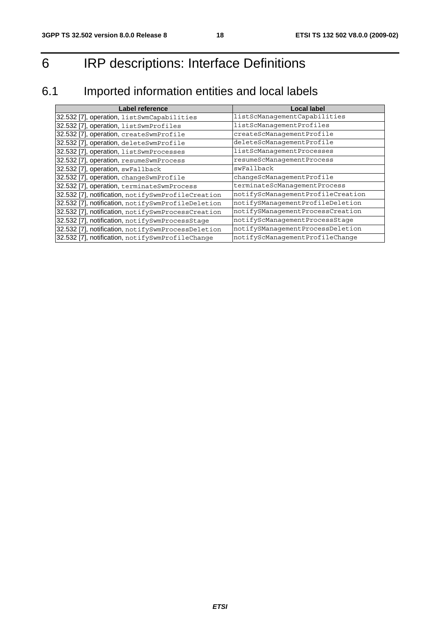## 6 IRP descriptions: Interface Definitions

### 6.1 Imported information entities and local labels

| Label reference                                    | <b>Local label</b>                |
|----------------------------------------------------|-----------------------------------|
| 32.532 [7], operation, listSwmCapabilities         | listScManagementCapabilities      |
| 32.532 [7], operation, listSwmProfiles             | listScManagementProfiles          |
| 32.532 [7], operation, createSwmProfile            | createScManagementProfile         |
| 32.532 [7], operation, deleteSwmProfile            | deleteScManagementProfile         |
| 32.532 [7], operation, listSwmProcesses            | listScManagementProcesses         |
| 32.532 [7], operation, resumeSwmProcess            | resumeScManagementProcess         |
| 32.532 [7], operation, swFallback                  | swFallback                        |
| 32.532 [7], operation, changeSwmProfile            | changeScManagementProfile         |
| 32.532 [7], operation, terminateSwmProcess         | terminateScManagementProcess      |
| 32.532 [7], notification, notifySwmProfileCreation | notifyScManagementProfileCreation |
| 32.532 [7], notification, notifySwmProfileDeletion | notifySManagementProfileDeletion  |
| 32.532 [7], notification, notifySwmProcessCreation | notifySManagementProcessCreation  |
| 32.532 [7], notification, notifySwmProcessStage    | notifyScManagementProcessStage    |
| 32.532 [7], notification, notifySwmProcessDeletion | notifySManagementProcessDeletion  |
| 32.532 [7], notification, notifySwmProfileChange   | notifyScManagementProfileChange   |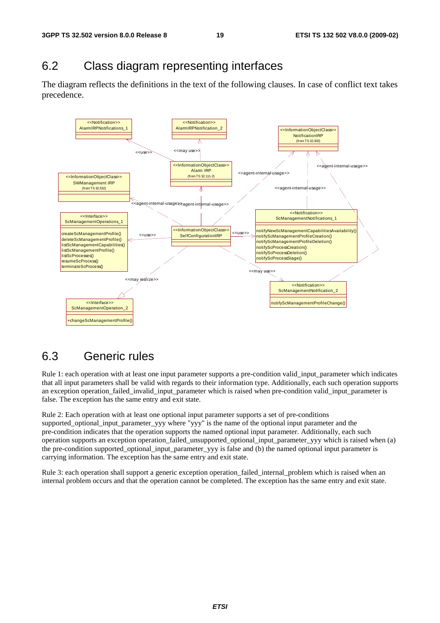### 6.2 Class diagram representing interfaces

The diagram reflects the definitions in the text of the following clauses. In case of conflict text takes precedence.



### 6.3 Generic rules

Rule 1: each operation with at least one input parameter supports a pre-condition valid\_input\_parameter which indicates that all input parameters shall be valid with regards to their information type. Additionally, each such operation supports an exception operation\_failed\_invalid\_input\_parameter which is raised when pre-condition valid\_input\_parameter is false. The exception has the same entry and exit state.

Rule 2: Each operation with at least one optional input parameter supports a set of pre-conditions supported\_optional\_input\_parameter\_yyy where "yyy" is the name of the optional input parameter and the pre-condition indicates that the operation supports the named optional input parameter. Additionally, each such operation supports an exception operation\_failed\_unsupported\_optional\_input\_parameter\_yyy which is raised when (a) the pre-condition supported\_optional\_input\_parameter\_yyy is false and (b) the named optional input parameter is carrying information. The exception has the same entry and exit state.

Rule 3: each operation shall support a generic exception operation\_failed\_internal\_problem which is raised when an internal problem occurs and that the operation cannot be completed. The exception has the same entry and exit state.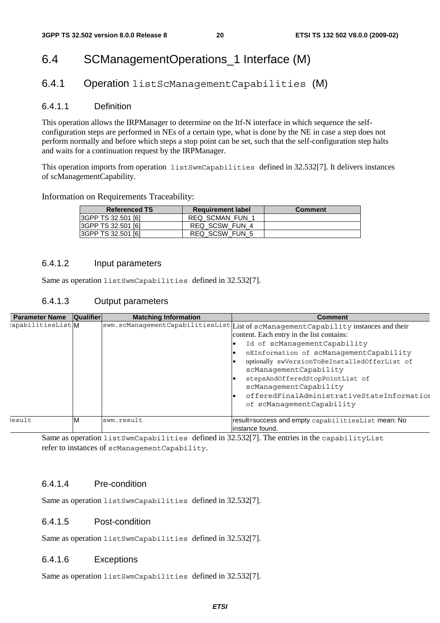### 6.4 SCManagementOperations\_1 Interface (M)

#### 6.4.1 Operation listScManagementCapabilities (M)

#### 6.4.1.1 Definition

This operation allows the IRPManager to determine on the Itf-N interface in which sequence the selfconfiguration steps are performed in NEs of a certain type, what is done by the NE in case a step does not perform normally and before which steps a stop point can be set, such that the self-configuration step halts and waits for a continuation request by the IRPManager.

This operation imports from operation listSwmCapabilities defined in 32.532[7]. It delivers instances of scManagementCapability.

#### Information on Requirements Traceability:

| <b>Referenced TS</b> | <b>Requirement label</b> | <b>Comment</b> |
|----------------------|--------------------------|----------------|
| 3GPP TS 32.501 [6]   | <b>REQ SCMAN FUN 1</b>   |                |
| 3GPP TS 32.501 [6]   | REQ SCSW FUN 4           |                |
| 3GPP TS 32.501 [6]   | REQ SCSW FUN 5           |                |

#### 6.4.1.2 Input parameters

Same as operation listSwmCapabilities defined in 32.532[7].

#### 6.4.1.3 Output parameters

| <b>Parameter Name</b> | Qualifier | <b>Matching Information</b> | <b>Comment</b>                                                                      |
|-----------------------|-----------|-----------------------------|-------------------------------------------------------------------------------------|
| :apabilitiesList M    |           |                             | swm.scManagementCapabilitiesList List of scManagementCapability instances and their |
|                       |           |                             | content. Each entry in the list contains:                                           |
|                       |           |                             | Id of scManagementCapability                                                        |
|                       |           |                             | nEInformation of scManagementCapability                                             |
|                       |           |                             | optionally swVersionToBeInstalledOfferList of<br>scManagementCapability             |
|                       |           |                             | stepsAndOfferedStopPointList of<br>scManagementCapability                           |
|                       |           |                             | offeredFinalAdministrativeStateInformation<br>of scManagementCapability             |
| <i>lesult</i>         | ιM        | swm.result                  | result=success and empty capabilitiesList mean: No<br>linstance found.              |

Same as operation listSwmCapabilities defined in 32.532[7]. The entries in the capabilityList refer to instances of scManagementCapability.

#### 6.4.1.4 Pre-condition

Same as operation listSwmCapabilities defined in 32.532[7].

#### 6.4.1.5 Post-condition

Same as operation listSwmCapabilities defined in 32.532[7].

#### 6.4.1.6 Exceptions

Same as operation listSwmCapabilities defined in 32.532[7].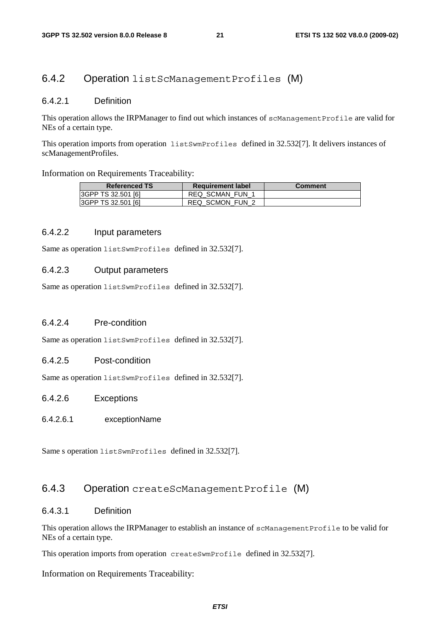#### 6.4.2 Operation listScManagementProfiles (M)

#### 6.4.2.1 Definition

This operation allows the IRPManager to find out which instances of scManagementProfile are valid for NEs of a certain type.

This operation imports from operation listSwmProfiles defined in 32.532[7]. It delivers instances of scManagementProfiles.

Information on Requirements Traceability:

| <b>Referenced TS</b>      | <b>Requirement label</b> | <b>Comment</b> |
|---------------------------|--------------------------|----------------|
| <b>3GPP TS 32.501 [6]</b> | REQ SCMAN FUN            |                |
| <b>3GPP TS 32.501 [6]</b> | <b>REQ SCMON FUN 2</b>   |                |

#### 6.4.2.2 Input parameters

Same as operation listSwmProfiles defined in 32.532[7].

#### 6.4.2.3 Output parameters

Same as operation listSwmProfiles defined in 32.532[7].

#### 6.4.2.4 Pre-condition

Same as operation listSwmProfiles defined in 32.532[7].

#### 6.4.2.5 Post-condition

Same as operation listSwmProfiles defined in 32.532[7].

#### 6.4.2.6 Exceptions

#### 6.4.2.6.1 exceptionName

Same s operation listSwmProfiles defined in 32.532[7].

#### 6.4.3 Operation createScManagementProfile (M)

#### 6.4.3.1 Definition

This operation allows the IRPManager to establish an instance of scManagementProfile to be valid for NEs of a certain type.

This operation imports from operation createSwmProfile defined in 32.532[7].

Information on Requirements Traceability: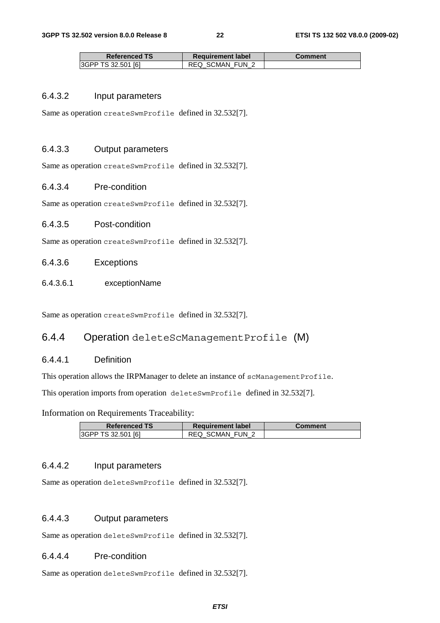| <b>Referenced TS</b>       | <b>Requirement label</b> | Comment |
|----------------------------|--------------------------|---------|
| <b>I3GPP TS 32.501 [6]</b> | <b>REQ SCMAN FUN 2</b>   |         |

#### 6.4.3.2 Input parameters

Same as operation createSwmProfile defined in 32.532[7].

#### 6.4.3.3 Output parameters

Same as operation createSwmProfile defined in 32.532[7].

#### 6.4.3.4 Pre-condition

Same as operation createSwmProfile defined in 32.532[7].

#### 6.4.3.5 Post-condition

Same as operation createSwmProfile defined in 32.532[7].

#### 6.4.3.6 Exceptions

6.4.3.6.1 exceptionName

Same as operation createSwmProfile defined in 32.532[7].

#### 6.4.4 Operation deleteScManagementProfile (M)

#### 6.4.4.1 Definition

This operation allows the IRPManager to delete an instance of scManagementProfile.

This operation imports from operation deleteSwmProfile defined in 32.532[7].

Information on Requirements Traceability:

| <b>Referenced TS</b> | <b>Requirement label</b> | Comment |
|----------------------|--------------------------|---------|
| 3GPP TS 32.501 [6]   | REQ SCMAN FUN 2          |         |

#### 6.4.4.2 Input parameters

Same as operation deleteSwmProfile defined in 32.532[7].

#### 6.4.4.3 Output parameters

Same as operation deleteSwmProfile defined in 32.532[7].

#### 6.4.4.4 Pre-condition

Same as operation deleteSwmProfile defined in 32.532[7].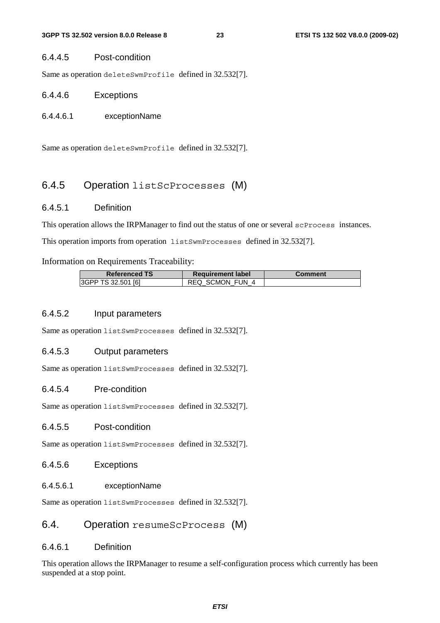#### 6.4.4.5 Post-condition

Same as operation deleteSwmProfile defined in 32.532[7].

#### 6.4.4.6 Exceptions

#### 6.4.4.6.1 exceptionName

Same as operation deleteSwmProfile defined in 32.532[7].

#### 6.4.5 Operation listScProcesses (M)

#### 6.4.5.1 Definition

This operation allows the IRPManager to find out the status of one or several scProcess instances. This operation imports from operation listSwmProcesses defined in 32.532[7].

Information on Requirements Traceability:

| <b>Referenced TS</b> | <b>Requirement label</b> | <b>Comment</b> |
|----------------------|--------------------------|----------------|
| 3GPP TS 32.501 [6]   | REQ SCMON FUN 4          |                |

#### 6.4.5.2 Input parameters

Same as operation listSwmProcesses defined in 32.532[7].

#### 6.4.5.3 Output parameters

Same as operation listSwmProcesses defined in 32.532[7].

#### 6.4.5.4 Pre-condition

Same as operation listSwmProcesses defined in 32.532[7].

#### 6.4.5.5 Post-condition

Same as operation listSwmProcesses defined in 32.532[7].

#### 6.4.5.6 Exceptions

#### 6.4.5.6.1 exceptionName

Same as operation listSwmProcesses defined in 32.532[7].

#### 6.4. Operation resumeScProcess (M)

#### 6.4.6.1 Definition

This operation allows the IRPManager to resume a self-configuration process which currently has been suspended at a stop point.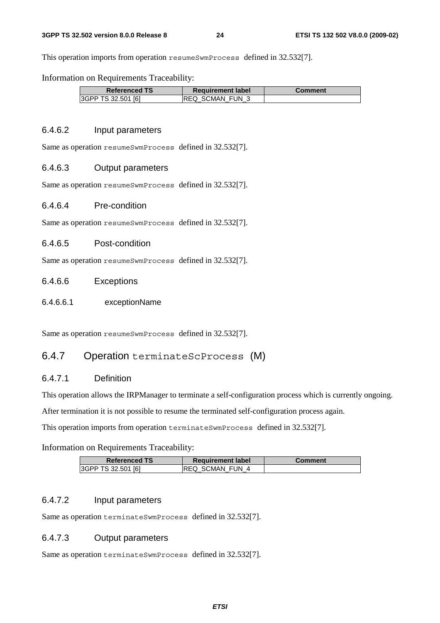This operation imports from operation resumeSwmProcess defined in 32.532[7].

Information on Requirements Traceability:

| <b>Referenced TS</b> | <b>Requirement label</b> | Comment |
|----------------------|--------------------------|---------|
| 3GPP TS 32.501 [6]   | IREQ SCMAN FUN 3         |         |

#### 6.4.6.2 Input parameters

Same as operation resumeSwmProcess defined in 32.532[7].

#### 6.4.6.3 Output parameters

Same as operation resumeSwmProcess defined in 32.532[7].

#### 6.4.6.4 Pre-condition

Same as operation resumeSwmProcess defined in 32.532[7].

#### 6.4.6.5 Post-condition

Same as operation resumeSwmProcess defined in 32.532[7].

#### 6.4.6.6 Exceptions

6.4.6.6.1 exceptionName

Same as operation resumeSwmProcess defined in 32.532[7].

#### 6.4.7 Operation terminateScProcess (M)

#### 6.4.7.1 Definition

This operation allows the IRPManager to terminate a self-configuration process which is currently ongoing.

After termination it is not possible to resume the terminated self-configuration process again.

This operation imports from operation terminateSwmProcess defined in 32.532[7].

#### Information on Requirements Traceability:

| <b>Referenced TS</b> | <b>Requirement label</b> | <b>Comment</b> |
|----------------------|--------------------------|----------------|
| I3GPP TS 32.501 [6]  | <b>IREQ SCMAN FUN 4</b>  |                |

#### 6.4.7.2 Input parameters

Same as operation terminateSwmProcess defined in 32.532[7].

#### 6.4.7.3 Output parameters

Same as operation terminateSwmProcess defined in 32.532[7].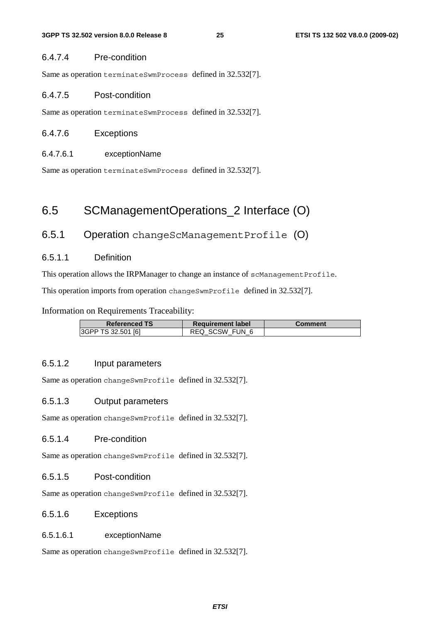#### 6.4.7.4 Pre-condition

Same as operation terminateSwmProcess defined in 32.532[7].

#### 6.4.7.5 Post-condition

Same as operation terminateSwmProcess defined in 32.532[7].

#### 6.4.7.6 Exceptions

#### 6.4.7.6.1 exceptionName

Same as operation terminateSwmProcess defined in 32.532[7].

### 6.5 SCManagementOperations\_2 Interface (O)

#### 6.5.1 Operation changeScManagementProfile (O)

#### 6.5.1.1 Definition

This operation allows the IRPManager to change an instance of scManagementProfile.

This operation imports from operation changeSwmProfile defined in 32.532[7].

Information on Requirements Traceability:

| <b>Referenced TS</b> | <b>Requirement label</b> | Comment |
|----------------------|--------------------------|---------|
| 3GPP TS 32.501 [6]   | REQ SCSW FUN 6           |         |

#### 6.5.1.2 Input parameters

Same as operation changeSwmProfile defined in 32.532[7].

#### 6.5.1.3 Output parameters

Same as operation changeSwmProfile defined in 32.532[7].

#### 6.5.1.4 Pre-condition

Same as operation changeSwmProfile defined in 32.532[7].

#### 6.5.1.5 Post-condition

Same as operation changeSwmProfile defined in 32.532[7].

#### 6.5.1.6 Exceptions

#### 6.5.1.6.1 exceptionName

Same as operation changeSwmProfile defined in 32.532[7].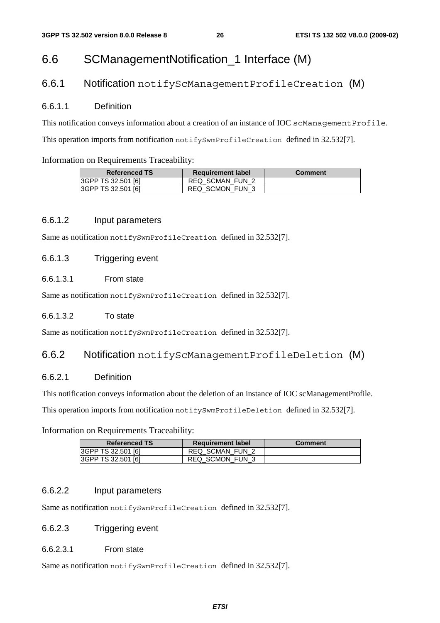### 6.6 SCManagementNotification\_1 Interface (M)

#### 6.6.1 Notification notifyScManagementProfileCreation (M)

#### 6.6.1.1 Definition

This notification conveys information about a creation of an instance of IOC scManagementProfile. This operation imports from notification notifySwmProfileCreation defined in 32.532[7].

#### Information on Requirements Traceability:

| <b>Referenced TS</b>      | <b>Requirement label</b> | <b>Comment</b> |
|---------------------------|--------------------------|----------------|
| <b>3GPP TS 32.501 [6]</b> | <b>REQ SCMAN FUN 2</b>   |                |
| <b>3GPP TS 32.501 [6]</b> | REQ SCMON FUN 3          |                |

#### 6.6.1.2 Input parameters

Same as notification notifySwmProfileCreation defined in 32.532[7].

#### 6.6.1.3 Triggering event

#### 6.6.1.3.1 From state

Same as notification notifySwmProfileCreation defined in 32.532[7].

#### 6.6.1.3.2 To state

Same as notification notifySwmProfileCreation defined in 32.532[7].

#### 6.6.2 Notification notifyScManagementProfileDeletion (M)

#### 6.6.2.1 Definition

This notification conveys information about the deletion of an instance of IOC scManagementProfile.

This operation imports from notification notifySwmProfileDeletion defined in 32.532[7].

#### Information on Requirements Traceability:

| <b>Referenced TS</b> | <b>Requirement label</b> | <b>Comment</b> |
|----------------------|--------------------------|----------------|
| 3GPP TS 32.501 [6]   | <b>REQ SCMAN FUN 2</b>   |                |
| 3GPP TS 32.501 [6]   | REQ SCMON FUN 3          |                |

#### 6.6.2.2 Input parameters

Same as notification notifySwmProfileCreation defined in 32.532[7].

#### 6.6.2.3 Triggering event

#### 6.6.2.3.1 From state

Same as notification notifySwmProfileCreation defined in 32.532[7].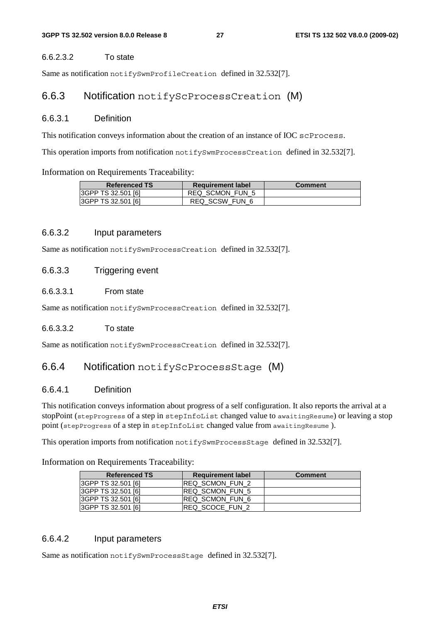#### 6.6.2.3.2 To state

Same as notification notifySwmProfileCreation defined in 32.532[7].

#### 6.6.3 Notification notifyScProcessCreation (M)

#### 6.6.3.1 Definition

This notification conveys information about the creation of an instance of IOC scProcess.

This operation imports from notification notifySwmProcessCreation defined in 32.532[7].

#### Information on Requirements Traceability:

| <b>Referenced TS</b>      | <b>Requirement label</b> | Comment |
|---------------------------|--------------------------|---------|
| <b>3GPP TS 32.501 [6]</b> | REQ SCMON FUN 5          |         |
| <b>3GPP TS 32.501 [6]</b> | REQ SCSW FUN 6           |         |

#### 6.6.3.2 Input parameters

Same as notification notifySwmProcessCreation defined in 32.532[7].

#### 6.6.3.3 Triggering event

#### 6.6.3.3.1 From state

Same as notification notifySwmProcessCreation defined in 32.532[7].

#### 6.6.3.3.2 To state

Same as notification notifySwmProcessCreation defined in 32.532[7].

#### 6.6.4 Notification notifyScProcessStage (M)

#### 6.6.4.1 Definition

This notification conveys information about progress of a self configuration. It also reports the arrival at a stopPoint (stepProgress of a step in stepInfoList changed value to awaitingResume) or leaving a stop point (stepProgress of a step in stepInfoList changed value from awaitingResume).

This operation imports from notification notifySwmProcessStage defined in 32.532[7].

Information on Requirements Traceability:

| <b>Referenced TS</b> | <b>Requirement label</b> | <b>Comment</b> |
|----------------------|--------------------------|----------------|
| 3GPP TS 32.501 [6]   | <b>IREQ SCMON FUN 2</b>  |                |
| 3GPP TS 32.501 [6]   | <b>IREQ SCMON FUN 5</b>  |                |
| I3GPP TS 32.501 [6]  | IREQ SCMON FUN 6         |                |
| I3GPP TS 32.501 [6]  | <b>IREQ SCOCE FUN 2</b>  |                |

#### 6.6.4.2 Input parameters

Same as notification notifySwmProcessStage defined in 32.532[7].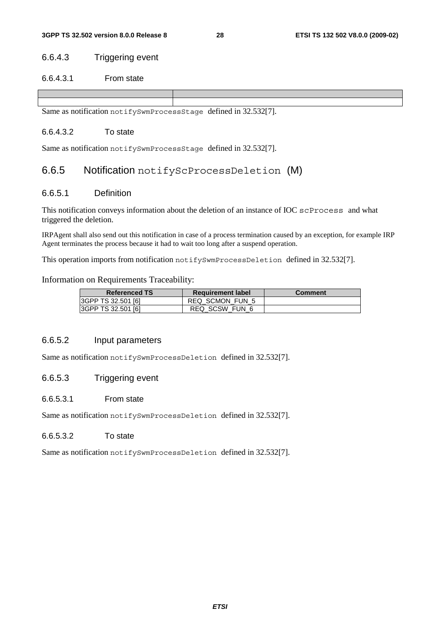#### 6.6.4.3 Triggering event

#### 6.6.4.3.1 From state

Same as notification notifySwmProcessStage defined in 32.532[7].

#### 6.6.4.3.2 To state

Same as notification notifySwmProcessStage defined in 32.532[7].

#### 6.6.5 Notification notifyScProcessDeletion (M)

#### 6.6.5.1 Definition

This notification conveys information about the deletion of an instance of IOC scProcess and what triggered the deletion.

IRPAgent shall also send out this notification in case of a process termination caused by an exception, for example IRP Agent terminates the process because it had to wait too long after a suspend operation.

This operation imports from notification notifySwmProcessDeletion defined in 32.532[7].

#### Information on Requirements Traceability:

| <b>Referenced TS</b> | <b>Requirement label</b> | <b>Comment</b> |
|----------------------|--------------------------|----------------|
| 3GPP TS 32.501 [6]   | REQ SCMON FUN 5          |                |
| 3GPP TS 32.501 [6]   | REQ SCSW FUN 6           |                |

#### 6.6.5.2 Input parameters

Same as notification notifySwmProcessDeletion defined in 32.532[7].

#### 6.6.5.3 Triggering event

#### 6.6.5.3.1 From state

Same as notification notifySwmProcessDeletion defined in 32.532[7].

#### 6.6.5.3.2 To state

Same as notification notifySwmProcessDeletion defined in 32.532[7].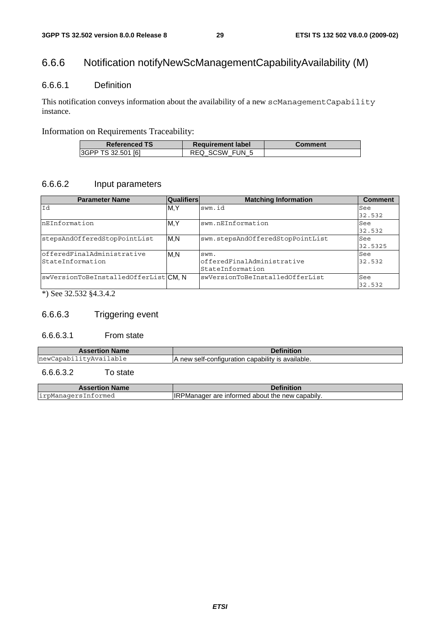### 6.6.6 Notification notifyNewScManagementCapabilityAvailability (M)

#### 6.6.6.1 Definition

This notification conveys information about the availability of a new scManagementCapability instance.

#### Information on Requirements Traceability:

| <b>Referenced TS</b>      | <b>Requirement label</b> | Comment |
|---------------------------|--------------------------|---------|
| <b>3GPP TS 32.501 [6]</b> | REQ SCSW FUN 5           |         |

#### 6.6.6.2 Input parameters

| <b>Parameter Name</b>               | <b>Qualifiers</b> | <b>Matching Information</b>      | <b>Comment</b> |
|-------------------------------------|-------------------|----------------------------------|----------------|
| Id                                  | M.Y               | swm.id                           | See            |
|                                     |                   |                                  | 32.532         |
| nEInformation                       | M, Y              | swm.nEInformation                | See            |
|                                     |                   |                                  | 32.532         |
| stepsAndOfferedStopPointList        | M.N               | swm.stepsAndOfferedStopPointList | See            |
|                                     |                   |                                  | 32.5325        |
| lofferedFinalAdministrative         | M.N               | swm.                             | See            |
| StateInformation                    |                   | offeredFinalAdministrative       | 32.532         |
|                                     |                   | StateInformation                 |                |
| swVersionToBeInstalledOfferListCM.N |                   | swVersionToBeInstalledOfferList  | See            |
|                                     |                   |                                  | 32.532         |

\*) See 32.532 §4.3.4.2

#### 6.6.6.3 Triggering event

#### 6.6.6.3.1 From state

| <b>Name</b><br><b>Assertion</b>      |                                                   |
|--------------------------------------|---------------------------------------------------|
| .ab⊥e<br>new(<br>່ † ∿≠∆∿⊁ລ<br>anahi | A new self-configuration capability is available. |

#### 6.6.6.3.2 To state

| <b>Assertion Name</b> | <b>Definition</b>                                      |
|-----------------------|--------------------------------------------------------|
| irpManagersInformed   | <b>IRPManager are informed about the new capabily.</b> |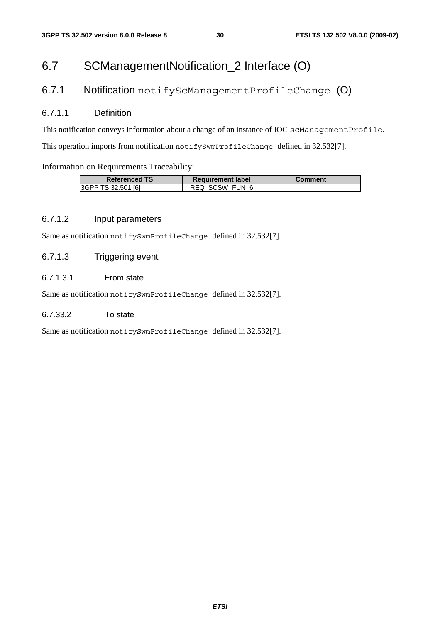### 6.7 SCManagementNotification\_2 Interface (O)

#### 6.7.1 Notification notifyScManagementProfileChange (O)

#### 6.7.1.1 Definition

This notification conveys information about a change of an instance of IOC scManagementProfile. This operation imports from notification notifySwmProfileChange defined in 32.532[7].

#### Information on Requirements Traceability:

| <b>Referenced TS</b> | <b>Requirement label</b> | Comment |
|----------------------|--------------------------|---------|
| 3GPP TS 32.501 [6]   | SCSW FUN 6<br>REQ        |         |

#### 6.7.1.2 Input parameters

Same as notification notifySwmProfileChange defined in 32.532[7].

#### 6.7.1.3 Triggering event

#### 6.7.1.3.1 From state

Same as notification notifySwmProfileChange defined in 32.532[7].

#### 6.7.33.2 To state

Same as notification notifySwmProfileChange defined in 32.532[7].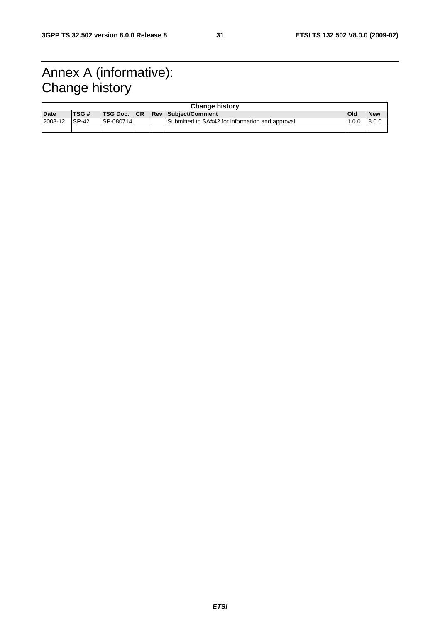### Annex A (informative): Change history

| <b>Change history</b> |  |            |                      |                                                                        |            |
|-----------------------|--|------------|----------------------|------------------------------------------------------------------------|------------|
| TSG #                 |  |            |                      | Old                                                                    | <b>New</b> |
| $SP-42$               |  |            |                      | .0.0                                                                   | 8.0.0      |
|                       |  |            |                      |                                                                        |            |
|                       |  | ISP-080714 | <b>ITSG Doc. ICR</b> | Rev Subiect/Comment<br>Submitted to SA#42 for information and approval |            |